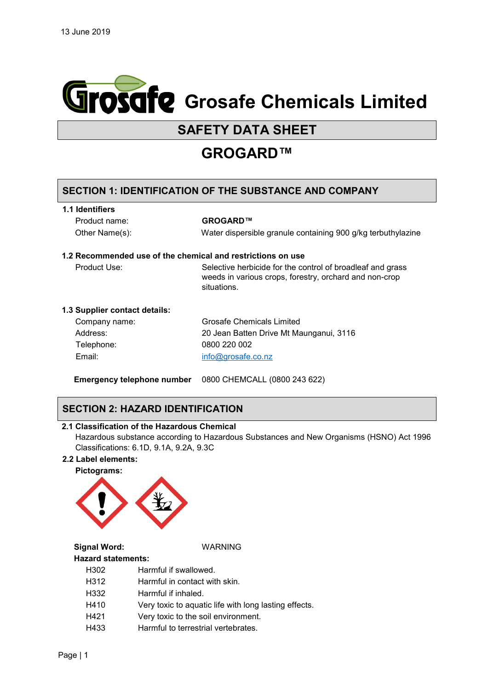

# **SAFETY DATA SHEET**

# **GROGARD™**

## **SECTION 1: IDENTIFICATION OF THE SUBSTANCE AND COMPANY**

#### **1.1 Identifiers**

Product name: **GROGARD™**

Other Name(s): Water dispersible granule containing 900 g/kg terbuthylazine

#### **1.2 Recommended use of the chemical and restrictions on use**

Product Use: Selective herbicide for the control of broadleaf and grass weeds in various crops, forestry, orchard and non-crop situations.

#### **1.3 Supplier contact details:**

| Company name: | Grosafe Chemicals Limited               |
|---------------|-----------------------------------------|
| Address:      | 20 Jean Batten Drive Mt Maunganui, 3116 |
| Telephone:    | 0800 220 002                            |
| Email:        | info@grosafe.co.nz                      |

**Emergency telephone number** 0800 CHEMCALL (0800 243 622)

## **SECTION 2: HAZARD IDENTIFICATION**

#### **2.1 Classification of the Hazardous Chemical**

Hazardous substance according to Hazardous Substances and New Organisms (HSNO) Act 1996 Classifications: 6.1D, 9.1A, 9.2A, 9.3C

#### **2.2 Label elements:**



**Signal Word:** WARNING

#### **Hazard statements:**

H302 Harmful if swallowed.

- H312 Harmful in contact with skin.
- H332 Harmful if inhaled.
- H410 Very toxic to aquatic life with long lasting effects.
- H421 Very toxic to the soil environment.
- H433 Harmful to terrestrial vertebrates.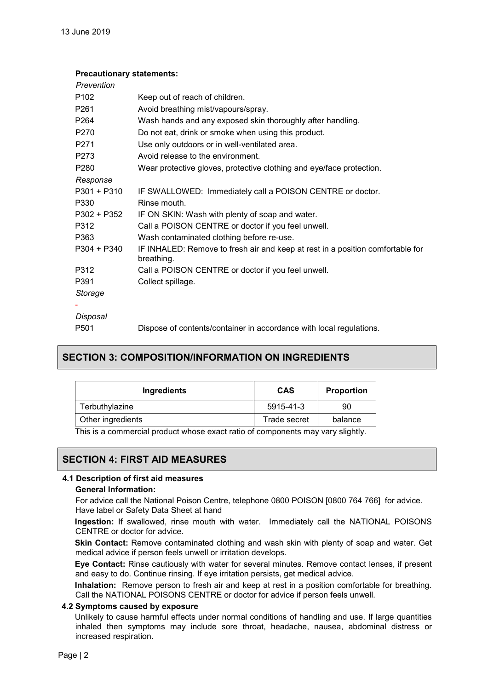#### **Precautionary statements:**

| Prevention       |                                                                                              |
|------------------|----------------------------------------------------------------------------------------------|
| P <sub>102</sub> | Keep out of reach of children.                                                               |
| P261             | Avoid breathing mist/vapours/spray.                                                          |
| P <sub>264</sub> | Wash hands and any exposed skin thoroughly after handling.                                   |
| P <sub>270</sub> | Do not eat, drink or smoke when using this product.                                          |
| P <sub>271</sub> | Use only outdoors or in well-ventilated area.                                                |
| P273             | Avoid release to the environment.                                                            |
| P <sub>280</sub> | Wear protective gloves, protective clothing and eye/face protection.                         |
| Response         |                                                                                              |
| P301 + P310      | IF SWALLOWED: Immediately call a POISON CENTRE or doctor.                                    |
| P330             | Rinse mouth.                                                                                 |
| P302 + P352      | IF ON SKIN: Wash with plenty of soap and water.                                              |
| P312             | Call a POISON CENTRE or doctor if you feel unwell.                                           |
| P363             | Wash contaminated clothing before re-use.                                                    |
| P304 + P340      | IF INHALED: Remove to fresh air and keep at rest in a position comfortable for<br>breathing. |
| P312             | Call a POISON CENTRE or doctor if you feel unwell.                                           |
| P391             | Collect spillage.                                                                            |
| Storage          |                                                                                              |
|                  |                                                                                              |
| Disposal         |                                                                                              |
| P <sub>501</sub> | Dispose of contents/container in accordance with local regulations.                          |

## **SECTION 3: COMPOSITION/INFORMATION ON INGREDIENTS**

| Ingredients       | <b>CAS</b>   | <b>Proportion</b> |
|-------------------|--------------|-------------------|
| Terbuthylazine    | 5915-41-3    | 90                |
| Other ingredients | Trade secret | balance           |

This is a commercial product whose exact ratio of components may vary slightly.

## **SECTION 4: FIRST AID MEASURES**

#### **4.1 Description of first aid measures**

#### **General Information:**

For advice call the National Poison Centre, telephone 0800 POISON [0800 764 766] for advice. Have label or Safety Data Sheet at hand

**Ingestion:** If swallowed, rinse mouth with water. Immediately call the NATIONAL POISONS CENTRE or doctor for advice.

**Skin Contact:** Remove contaminated clothing and wash skin with plenty of soap and water. Get medical advice if person feels unwell or irritation develops.

**Eye Contact:** Rinse cautiously with water for several minutes. Remove contact lenses, if present and easy to do. Continue rinsing. If eye irritation persists, get medical advice.

**Inhalation:** Remove person to fresh air and keep at rest in a position comfortable for breathing. Call the NATIONAL POISONS CENTRE or doctor for advice if person feels unwell.

#### **4.2 Symptoms caused by exposure**

Unlikely to cause harmful effects under normal conditions of handling and use. If large quantities inhaled then symptoms may include sore throat, headache, nausea, abdominal distress or increased respiration.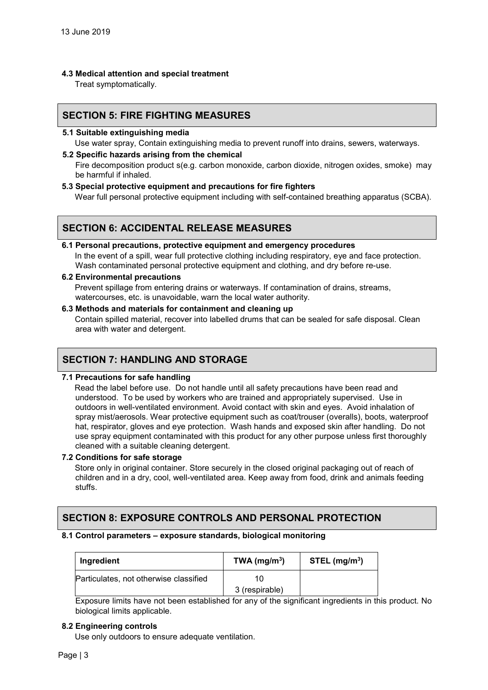**4.3 Medical attention and special treatment** 

Treat symptomatically.

## **SECTION 5: FIRE FIGHTING MEASURES**

**5.1 Suitable extinguishing media**

Use water spray, Contain extinguishing media to prevent runoff into drains, sewers, waterways.

**5.2 Specific hazards arising from the chemical** 

Fire decomposition product s(e.g. carbon monoxide, carbon dioxide, nitrogen oxides, smoke) may be harmful if inhaled.

**5.3 Special protective equipment and precautions for fire fighters** 

Wear full personal protective equipment including with self-contained breathing apparatus (SCBA).

## **SECTION 6: ACCIDENTAL RELEASE MEASURES**

#### **6.1 Personal precautions, protective equipment and emergency procedures**  In the event of a spill, wear full protective clothing including respiratory, eye and face protection. Wash contaminated personal protective equipment and clothing, and dry before re-use.

#### **6.2 Environmental precautions**

Prevent spillage from entering drains or waterways. If contamination of drains, streams, watercourses, etc. is unavoidable, warn the local water authority.

**6.3 Methods and materials for containment and cleaning up** 

Contain spilled material, recover into labelled drums that can be sealed for safe disposal. Clean area with water and detergent.

## **SECTION 7: HANDLING AND STORAGE**

#### **7.1 Precautions for safe handling**

Read the label before use. Do not handle until all safety precautions have been read and understood. To be used by workers who are trained and appropriately supervised. Use in outdoors in well-ventilated environment. Avoid contact with skin and eyes. Avoid inhalation of spray mist/aerosols. Wear protective equipment such as coat/trouser (overalls), boots, waterproof hat, respirator, gloves and eye protection. Wash hands and exposed skin after handling. Do not use spray equipment contaminated with this product for any other purpose unless first thoroughly cleaned with a suitable cleaning detergent.

#### **7.2 Conditions for safe storage**

Store only in original container. Store securely in the closed original packaging out of reach of children and in a dry, cool, well-ventilated area. Keep away from food, drink and animals feeding stuffs.

## **SECTION 8: EXPOSURE CONTROLS AND PERSONAL PROTECTION**

#### **8.1 Control parameters – exposure standards, biological monitoring**

| Ingredient                             | TWA ( $mg/m3$ ) | STEL (mg/m <sup>3</sup> ) |
|----------------------------------------|-----------------|---------------------------|
| Particulates, not otherwise classified |                 |                           |
|                                        | 3 (respirable)  |                           |

Exposure limits have not been established for any of the significant ingredients in this product. No biological limits applicable.

#### **8.2 Engineering controls**

Use only outdoors to ensure adequate ventilation.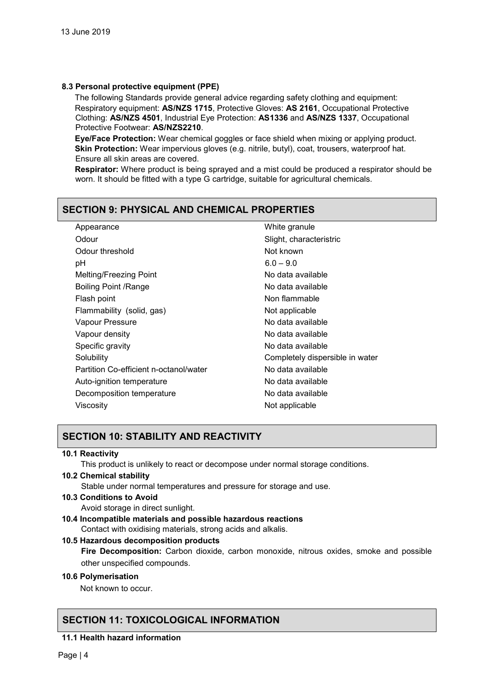#### **8.3 Personal protective equipment (PPE)**

The following Standards provide general advice regarding safety clothing and equipment: Respiratory equipment: **AS/NZS 1715**, Protective Gloves: **AS 2161**, Occupational Protective Clothing: **AS/NZS 4501**, Industrial Eye Protection: **AS1336** and **AS/NZS 1337**, Occupational Protective Footwear: **AS/NZS2210**.

**Eye/Face Protection:** Wear chemical goggles or face shield when mixing or applying product. **Skin Protection:** Wear impervious gloves (e.g. nitrile, butyl), coat, trousers, waterproof hat. Ensure all skin areas are covered.

**Respirator:** Where product is being sprayed and a mist could be produced a respirator should be worn. It should be fitted with a type G cartridge, suitable for agricultural chemicals.

## **SECTION 9: PHYSICAL AND CHEMICAL PROPERTIES**

| Appearance                             | White granule                   |
|----------------------------------------|---------------------------------|
| Odour                                  | Slight, characteristric         |
| Odour threshold                        | Not known                       |
| рH                                     | $6.0 - 9.0$                     |
| Melting/Freezing Point                 | No data available               |
| <b>Boiling Point /Range</b>            | No data available               |
| Flash point                            | Non flammable                   |
| Flammability (solid, gas)              | Not applicable                  |
| Vapour Pressure                        | No data available               |
| Vapour density                         | No data available               |
| Specific gravity                       | No data available               |
| Solubility                             | Completely dispersible in water |
| Partition Co-efficient n-octanol/water | No data available               |
| Auto-ignition temperature              | No data available               |
| Decomposition temperature              | No data available               |
| Viscosity                              | Not applicable                  |

## **SECTION 10: STABILITY AND REACTIVITY**

#### **10.1 Reactivity**

This product is unlikely to react or decompose under normal storage conditions.

#### **10.2 Chemical stability**

Stable under normal temperatures and pressure for storage and use.

#### **10.3 Conditions to Avoid**

Avoid storage in direct sunlight.

**10.4 Incompatible materials and possible hazardous reactions**  Contact with oxidising materials, strong acids and alkalis.

#### **10.5 Hazardous decomposition products**

**Fire Decomposition:** Carbon dioxide, carbon monoxide, nitrous oxides, smoke and possible other unspecified compounds.

#### **10.6 Polymerisation**

Not known to occur.

## **SECTION 11: TOXICOLOGICAL INFORMATION**

**11.1 Health hazard information**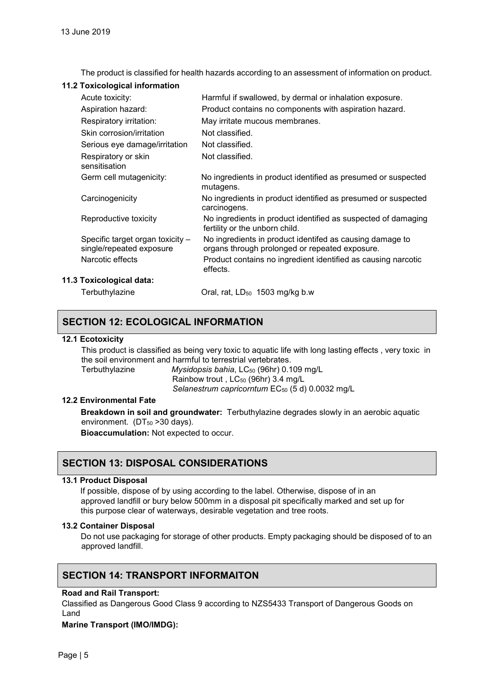The product is classified for health hazards according to an assessment of information on product.

#### **11.2 Toxicological information**

| Acute toxicity:                                              | Harmful if swallowed, by dermal or inhalation exposure.                                                    |
|--------------------------------------------------------------|------------------------------------------------------------------------------------------------------------|
| Aspiration hazard:                                           | Product contains no components with aspiration hazard.                                                     |
| Respiratory irritation:                                      | May irritate mucous membranes.                                                                             |
| Skin corrosion/irritation                                    | Not classified.                                                                                            |
| Serious eye damage/irritation                                | Not classified.                                                                                            |
| Respiratory or skin<br>sensitisation                         | Not classified.                                                                                            |
| Germ cell mutagenicity:                                      | No ingredients in product identified as presumed or suspected<br>mutagens.                                 |
| Carcinogenicity                                              | No ingredients in product identified as presumed or suspected<br>carcinogens.                              |
| Reproductive toxicity                                        | No ingredients in product identified as suspected of damaging<br>fertility or the unborn child.            |
| Specific target organ toxicity -<br>single/repeated exposure | No ingredients in product identifed as causing damage to<br>organs through prolonged or repeated exposure. |
| Narcotic effects                                             | Product contains no ingredient identified as causing narcotic<br>effects.                                  |
| 11.3 Toxicological data:                                     |                                                                                                            |
| Terbuthylazine                                               | Oral, rat, LD <sub>50</sub> 1503 mg/kg b.w                                                                 |

## **SECTION 12: ECOLOGICAL INFORMATION**

#### **12.1 Ecotoxicity**

This product is classified as being very toxic to aquatic life with long lasting effects , very toxic in the soil environment and harmful to terrestrial vertebrates.

Terbuthylazine *Mysidopsis bahia*, LC50 (96hr) 0.109 mg/L Rainbow trout, LC<sub>50</sub> (96hr) 3.4 mg/L *Selanestrum capricorntum* EC50 (5 d) 0.0032 mg/L

#### **12.2 Environmental Fate**

**Breakdown in soil and groundwater:** Terbuthylazine degrades slowly in an aerobic aquatic environment.  $(DT<sub>50</sub> > 30 \text{ days})$ .

**Bioaccumulation:** Not expected to occur.

## **SECTION 13: DISPOSAL CONSIDERATIONS**

#### **13.1 Product Disposal**

 If possible, dispose of by using according to the label. Otherwise, dispose of in an approved landfill or bury below 500mm in a disposal pit specifically marked and set up for this purpose clear of waterways, desirable vegetation and tree roots.

#### **13.2 Container Disposal**

Do not use packaging for storage of other products. Empty packaging should be disposed of to an approved landfill.

## **SECTION 14: TRANSPORT INFORMAITON**

#### **Road and Rail Transport:**

Classified as Dangerous Good Class 9 according to NZS5433 Transport of Dangerous Goods on Land

#### **Marine Transport (IMO/IMDG):**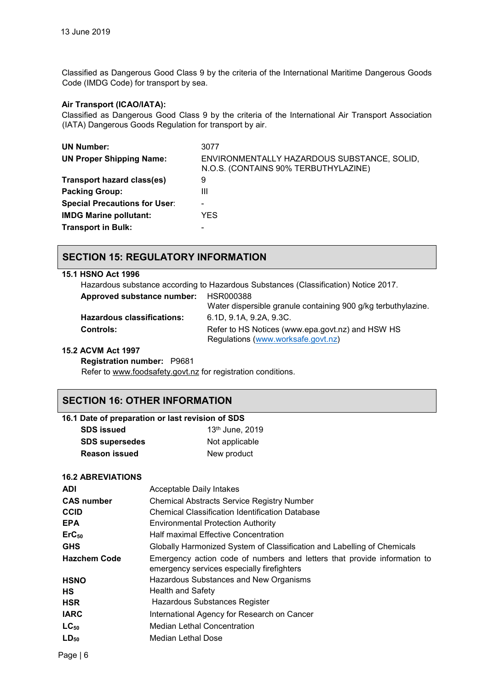Classified as Dangerous Good Class 9 by the criteria of the International Maritime Dangerous Goods Code (IMDG Code) for transport by sea.

#### **Air Transport (ICAO/IATA):**

Classified as Dangerous Good Class 9 by the criteria of the International Air Transport Association (IATA) Dangerous Goods Regulation for transport by air.

| <b>UN Number:</b>                    | 3077                                                                                |
|--------------------------------------|-------------------------------------------------------------------------------------|
| <b>UN Proper Shipping Name:</b>      | ENVIRONMENTALLY HAZARDOUS SUBSTANCE, SOLID,<br>N.O.S. (CONTAINS 90% TERBUTHYLAZINE) |
| Transport hazard class(es)           | 9                                                                                   |
| <b>Packing Group:</b>                | Ш                                                                                   |
| <b>Special Precautions for User:</b> |                                                                                     |
| <b>IMDG Marine pollutant:</b>        | YES.                                                                                |
| <b>Transport in Bulk:</b>            |                                                                                     |

## **SECTION 15: REGULATORY INFORMATION**

### **15.1 HSNO Act 1996**

| Hazardous substance according to Hazardous Substances (Classification) Notice 2017. |                                                                                        |  |
|-------------------------------------------------------------------------------------|----------------------------------------------------------------------------------------|--|
| Approved substance number: HSR000388                                                |                                                                                        |  |
|                                                                                     | Water dispersible granule containing 900 g/kg terbuthylazine.                          |  |
| <b>Hazardous classifications:</b>                                                   | 6.1D, 9.1A, 9.2A, 9.3C.                                                                |  |
| <b>Controls:</b>                                                                    | Refer to HS Notices (www.epa.govt.nz) and HSW HS<br>Regulations (www.worksafe.govt.nz) |  |

#### **15.2 ACVM Act 1997**

**Registration number:** P9681

Refer to [www.foodsafety.govt.nz](http://www.foodsafety.govt.nz/) for registration conditions.

## **SECTION 16: OTHER INFORMATION**

#### **16.1 Date of preparation or last revision of SDS**

| <b>SDS</b> issued     | 13th June, 2019 |
|-----------------------|-----------------|
| <b>SDS supersedes</b> | Not applicable  |
| <b>Reason issued</b>  | New product     |

#### **16.2 ABREVIATIONS**

| <b>ADI</b>          | Acceptable Daily Intakes                                                                                               |  |
|---------------------|------------------------------------------------------------------------------------------------------------------------|--|
| <b>CAS number</b>   | <b>Chemical Abstracts Service Registry Number</b>                                                                      |  |
| <b>CCID</b>         | <b>Chemical Classification Identification Database</b>                                                                 |  |
| <b>EPA</b>          | <b>Environmental Protection Authority</b>                                                                              |  |
| $ErC_{50}$          | <b>Half maximal Effective Concentration</b>                                                                            |  |
| <b>GHS</b>          | Globally Harmonized System of Classification and Labelling of Chemicals                                                |  |
| <b>Hazchem Code</b> | Emergency action code of numbers and letters that provide information to<br>emergency services especially firefighters |  |
| <b>HSNO</b>         | Hazardous Substances and New Organisms                                                                                 |  |
| <b>HS</b>           | <b>Health and Safety</b>                                                                                               |  |
| <b>HSR</b>          | Hazardous Substances Register                                                                                          |  |
| <b>IARC</b>         | International Agency for Research on Cancer                                                                            |  |
| $LC_{50}$           | <b>Median Lethal Concentration</b>                                                                                     |  |
| $LD_{50}$           | <b>Median Lethal Dose</b>                                                                                              |  |